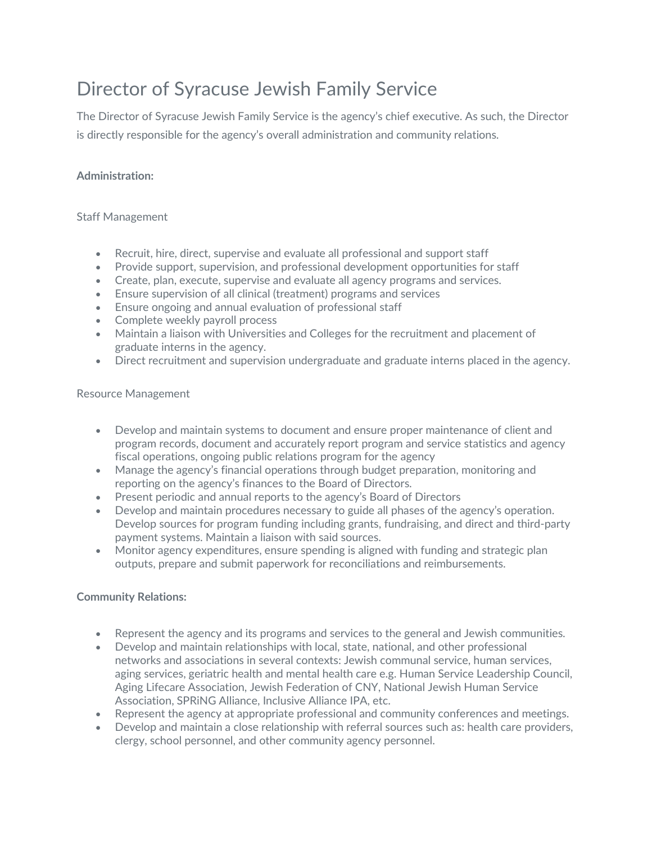# Director of Syracuse Jewish Family Service

The Director of Syracuse Jewish Family Service is the agency's chief executive. As such, the Director is directly responsible for the agency's overall administration and community relations.

# **Administration:**

# Staff Management

- Recruit, hire, direct, supervise and evaluate all professional and support staff
- Provide support, supervision, and professional development opportunities for staff
- Create, plan, execute, supervise and evaluate all agency programs and services.
- Ensure supervision of all clinical (treatment) programs and services
- Ensure ongoing and annual evaluation of professional staff
- Complete weekly payroll process
- Maintain a liaison with Universities and Colleges for the recruitment and placement of graduate interns in the agency.
- Direct recruitment and supervision undergraduate and graduate interns placed in the agency.

#### Resource Management

- Develop and maintain systems to document and ensure proper maintenance of client and program records, document and accurately report program and service statistics and agency fiscal operations, ongoing public relations program for the agency
- Manage the agency's financial operations through budget preparation, monitoring and reporting on the agency's finances to the Board of Directors.
- Present periodic and annual reports to the agency's Board of Directors
- Develop and maintain procedures necessary to guide all phases of the agency's operation. Develop sources for program funding including grants, fundraising, and direct and third-party payment systems. Maintain a liaison with said sources.
- Monitor agency expenditures, ensure spending is aligned with funding and strategic plan outputs, prepare and submit paperwork for reconciliations and reimbursements.

# **Community Relations:**

- Represent the agency and its programs and services to the general and Jewish communities.
- Develop and maintain relationships with local, state, national, and other professional networks and associations in several contexts: Jewish communal service, human services, aging services, geriatric health and mental health care e.g. Human Service Leadership Council, Aging Lifecare Association, Jewish Federation of CNY, National Jewish Human Service Association, SPRiNG Alliance, Inclusive Alliance IPA, etc.
- Represent the agency at appropriate professional and community conferences and meetings.
- Develop and maintain a close relationship with referral sources such as: health care providers, clergy, school personnel, and other community agency personnel.